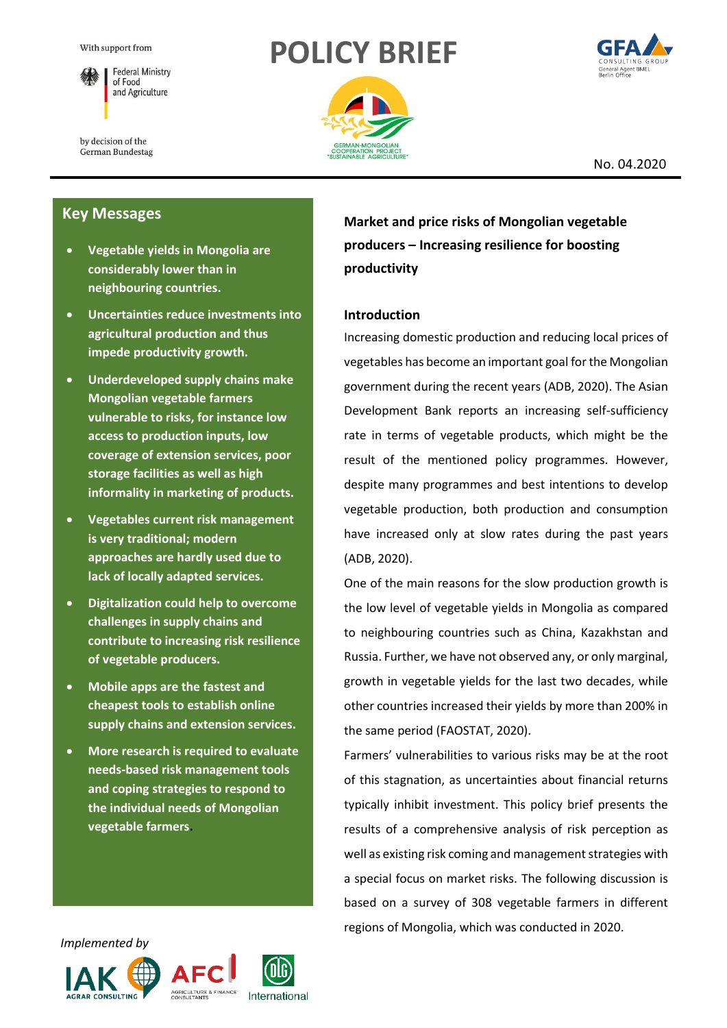





by decision of the German Bundestag

### No. 04.2020

# **Key Messages**

- **Vegetable yields in Mongolia are considerably lower than in neighbouring countries.**
- **Uncertainties reduce investments into agricultural production and thus impede productivity growth.**
- **Underdeveloped supply chains make Mongolian vegetable farmers vulnerable to risks, for instance low access to production inputs, low coverage of extension services, poor storage facilities as well as high informality in marketing of products.**
- **Vegetables current risk management is very traditional; modern approaches are hardly used due to lack of locally adapted services.**
- **Digitalization could help to overcome challenges in supply chains and contribute to increasing risk resilience of vegetable producers.**
- **Mobile apps are the fastest and cheapest tools to establish online supply chains and extension services.**
- **More research is required to evaluate needs-based risk management tools and coping strategies to respond to the individual needs of Mongolian vegetable farmers.**

**Market and price risks of Mongolian vegetable producers – Increasing resilience for boosting productivity**

# **Introduction**

Increasing domestic production and reducing local prices of vegetables has become an important goal for the Mongolian government during the recent years (ADB, 2020). The Asian Development Bank reports an increasing self-sufficiency rate in terms of vegetable products, which might be the result of the mentioned policy programmes. However, despite many programmes and best intentions to develop vegetable production, both production and consumption have increased only at slow rates during the past years (ADB, 2020).

One of the main reasons for the slow production growth is the low level of vegetable yields in Mongolia as compared to neighbouring countries such as China, Kazakhstan and Russia. Further, we have not observed any, or only marginal, growth in vegetable yields for the last two decades, while other countries increased their yields by more than 200% in the same period (FAOSTAT, 2020).

Farmers' vulnerabilities to various risks may be at the root of this stagnation, as uncertainties about financial returns typically inhibit investment. This policy brief presents the results of a comprehensive analysis of risk perception as well as existing risk coming and management strategies with a special focus on market risks. The following discussion is based on a survey of 308 vegetable farmers in different regions of Mongolia, which was conducted in 2020.





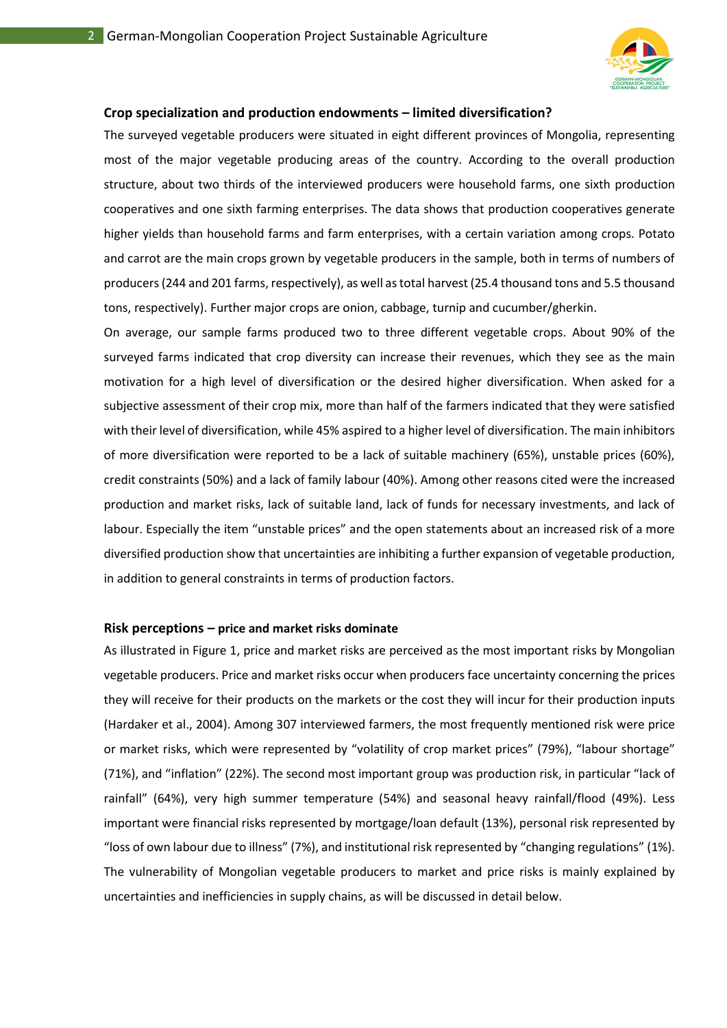

### **Crop specialization and production endowments – limited diversification?**

The surveyed vegetable producers were situated in eight different provinces of Mongolia, representing most of the major vegetable producing areas of the country. According to the overall production structure, about two thirds of the interviewed producers were household farms, one sixth production cooperatives and one sixth farming enterprises. The data shows that production cooperatives generate higher yields than household farms and farm enterprises, with a certain variation among crops. Potato and carrot are the main crops grown by vegetable producers in the sample, both in terms of numbers of producers (244 and 201 farms, respectively), as well as total harvest (25.4 thousand tons and 5.5 thousand tons, respectively). Further major crops are onion, cabbage, turnip and cucumber/gherkin.

On average, our sample farms produced two to three different vegetable crops. About 90% of the surveyed farms indicated that crop diversity can increase their revenues, which they see as the main motivation for a high level of diversification or the desired higher diversification. When asked for a subjective assessment of their crop mix, more than half of the farmers indicated that they were satisfied with their level of diversification, while 45% aspired to a higher level of diversification. The main inhibitors of more diversification were reported to be a lack of suitable machinery (65%), unstable prices (60%), credit constraints (50%) and a lack of family labour (40%). Among other reasons cited were the increased production and market risks, lack of suitable land, lack of funds for necessary investments, and lack of labour. Especially the item "unstable prices" and the open statements about an increased risk of a more diversified production show that uncertainties are inhibiting a further expansion of vegetable production, in addition to general constraints in terms of production factors.

#### **Risk perceptions – price and market risks dominate**

As illustrated in Figure 1, price and market risks are perceived as the most important risks by Mongolian vegetable producers. Price and market risks occur when producers face uncertainty concerning the prices they will receive for their products on the markets or the cost they will incur for their production inputs (Hardaker et al., 2004). Among 307 interviewed farmers, the most frequently mentioned risk were price or market risks, which were represented by "volatility of crop market prices" (79%), "labour shortage" (71%), and "inflation" (22%). The second most important group was production risk, in particular "lack of rainfall" (64%), very high summer temperature (54%) and seasonal heavy rainfall/flood (49%). Less important were financial risks represented by mortgage/loan default (13%), personal risk represented by "loss of own labour due to illness" (7%), and institutional risk represented by "changing regulations" (1%). The vulnerability of Mongolian vegetable producers to market and price risks is mainly explained by uncertainties and inefficiencies in supply chains, as will be discussed in detail below.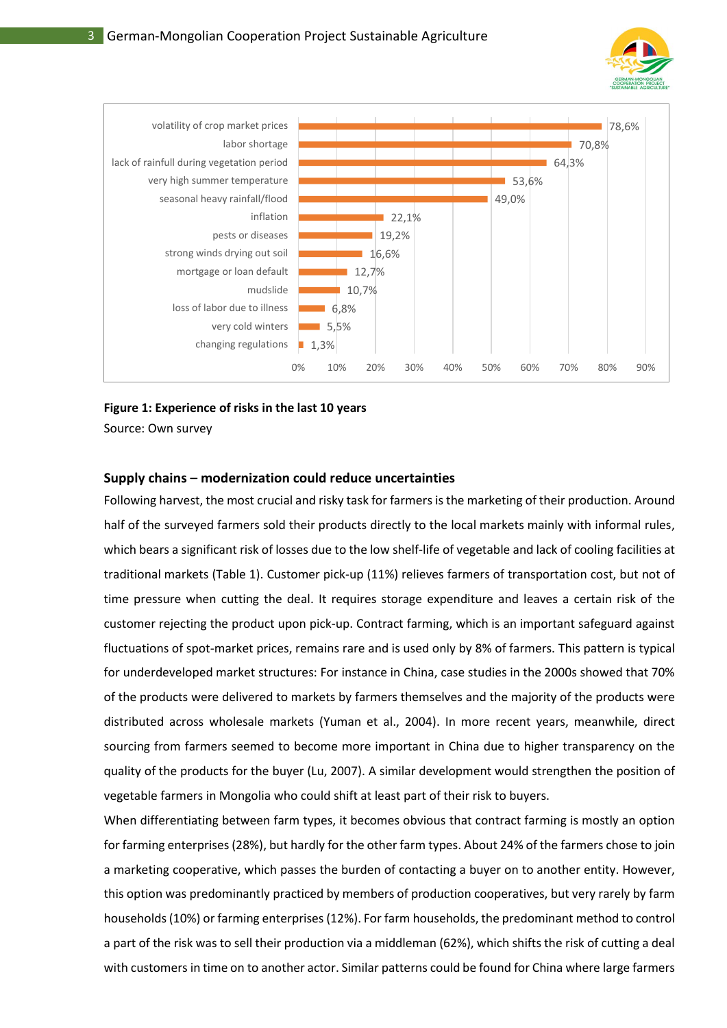



### **Figure 1: Experience of risks in the last 10 years**

Source: Own survey

### **Supply chains – modernization could reduce uncertainties**

Following harvest, the most crucial and risky task for farmers is the marketing of their production. Around half of the surveyed farmers sold their products directly to the local markets mainly with informal rules, which bears a significant risk of losses due to the low shelf-life of vegetable and lack of cooling facilities at traditional markets (Table 1). Customer pick-up (11%) relieves farmers of transportation cost, but not of time pressure when cutting the deal. It requires storage expenditure and leaves a certain risk of the customer rejecting the product upon pick-up. Contract farming, which is an important safeguard against fluctuations of spot-market prices, remains rare and is used only by 8% of farmers. This pattern is typical for underdeveloped market structures: For instance in China, case studies in the 2000s showed that 70% of the products were delivered to markets by farmers themselves and the majority of the products were distributed across wholesale markets (Yuman et al., 2004). In more recent years, meanwhile, direct sourcing from farmers seemed to become more important in China due to higher transparency on the quality of the products for the buyer (Lu, 2007). A similar development would strengthen the position of vegetable farmers in Mongolia who could shift at least part of their risk to buyers.

When differentiating between farm types, it becomes obvious that contract farming is mostly an option for farming enterprises (28%), but hardly for the other farm types. About 24% of the farmers chose to join a marketing cooperative, which passes the burden of contacting a buyer on to another entity. However, this option was predominantly practiced by members of production cooperatives, but very rarely by farm households (10%) or farming enterprises (12%). For farm households, the predominant method to control a part of the risk was to sell their production via a middleman (62%), which shifts the risk of cutting a deal with customers in time on to another actor. Similar patterns could be found for China where large farmers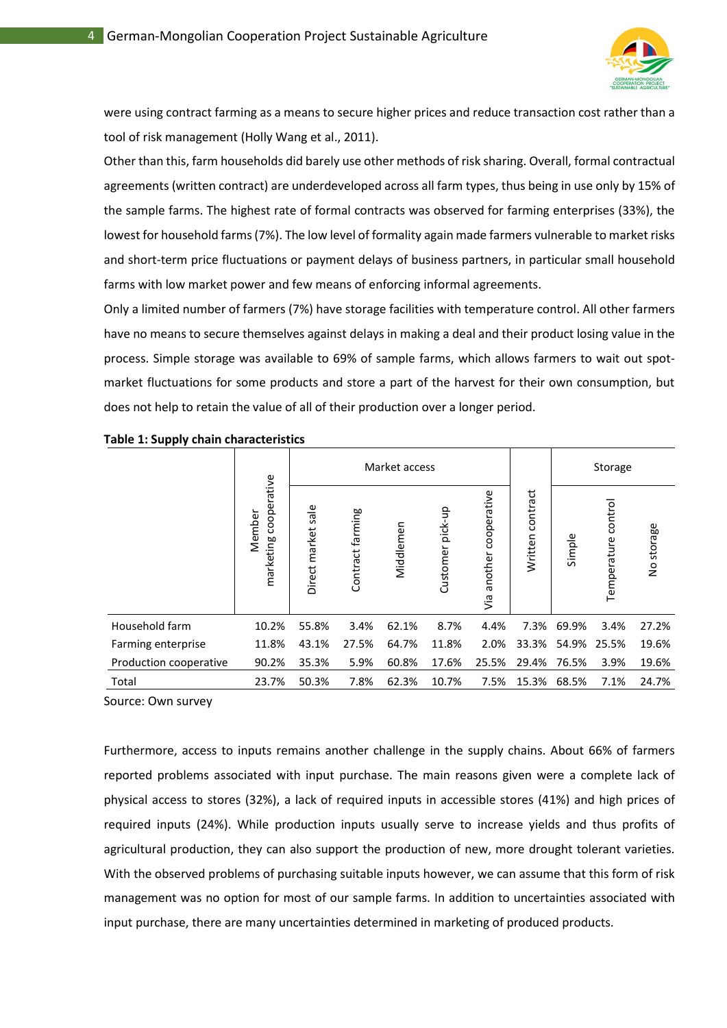

were using contract farming as a means to secure higher prices and reduce transaction cost rather than a tool of risk management (Holly Wang et al., 2011).

Other than this, farm households did barely use other methods of risk sharing. Overall, formal contractual agreements (written contract) are underdeveloped across all farm types, thus being in use only by 15% of the sample farms. The highest rate of formal contracts was observed for farming enterprises (33%), the lowest for household farms (7%). The low level of formality again made farmers vulnerable to market risks and short-term price fluctuations or payment delays of business partners, in particular small household farms with low market power and few means of enforcing informal agreements.

Only a limited number of farmers (7%) have storage facilities with temperature control. All other farmers have no means to secure themselves against delays in making a deal and their product losing value in the process. Simple storage was available to 69% of sample farms, which allows farmers to wait out spotmarket fluctuations for some products and store a part of the harvest for their own consumption, but does not help to retain the value of all of their production over a longer period.

|                        |                                    | Market access         |                  |           |                  |                               |                     | Storage |                        |            |
|------------------------|------------------------------------|-----------------------|------------------|-----------|------------------|-------------------------------|---------------------|---------|------------------------|------------|
|                        | cooperative<br>Member<br>marketing | sale<br>Direct market | Contract farming | Middlemen | Customer pick-up | cooperative<br>another<br>yia | contract<br>Written | Simple  | control<br>Temperature | No storage |
| Household farm         | 10.2%                              | 55.8%                 | 3.4%             | 62.1%     | 8.7%             | 4.4%                          | 7.3%                | 69.9%   | 3.4%                   | 27.2%      |
| Farming enterprise     | 11.8%                              | 43.1%                 | 27.5%            | 64.7%     | 11.8%            | 2.0%                          | 33.3%               | 54.9%   | 25.5%                  | 19.6%      |
| Production cooperative | 90.2%                              | 35.3%                 | 5.9%             | 60.8%     | 17.6%            | 25.5%                         | 29.4%               | 76.5%   | 3.9%                   | 19.6%      |
| Total                  | 23.7%                              | 50.3%                 | 7.8%             | 62.3%     | 10.7%            | 7.5%                          | 15.3%               | 68.5%   | 7.1%                   | 24.7%      |

|  |  |  |  | Table 1: Supply chain characteristics |
|--|--|--|--|---------------------------------------|
|--|--|--|--|---------------------------------------|

Source: Own survey

Furthermore, access to inputs remains another challenge in the supply chains. About 66% of farmers reported problems associated with input purchase. The main reasons given were a complete lack of physical access to stores (32%), a lack of required inputs in accessible stores (41%) and high prices of required inputs (24%). While production inputs usually serve to increase yields and thus profits of agricultural production, they can also support the production of new, more drought tolerant varieties. With the observed problems of purchasing suitable inputs however, we can assume that this form of risk management was no option for most of our sample farms. In addition to uncertainties associated with input purchase, there are many uncertainties determined in marketing of produced products.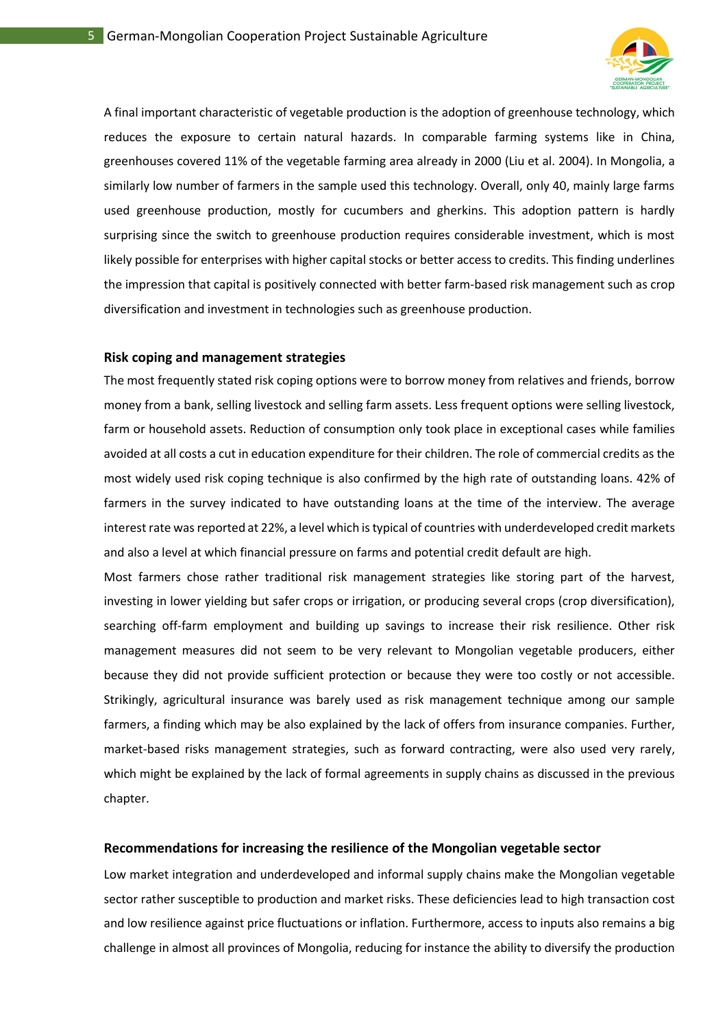

A final important characteristic of vegetable production is the adoption of greenhouse technology, which reduces the exposure to certain natural hazards. In comparable farming systems like in China, greenhouses covered 11% of the vegetable farming area already in 2000 (Liu et al. 2004). In Mongolia, a similarly low number of farmers in the sample used this technology. Overall, only 40, mainly large farms used greenhouse production, mostly for cucumbers and gherkins. This adoption pattern is hardly surprising since the switch to greenhouse production requires considerable investment, which is most likely possible for enterprises with higher capital stocks or better access to credits. This finding underlines the impression that capital is positively connected with better farm-based risk management such as crop diversification and investment in technologies such as greenhouse production.

### **Risk coping and management strategies**

The most frequently stated risk coping options were to borrow money from relatives and friends, borrow money from a bank, selling livestock and selling farm assets. Less frequent options were selling livestock, farm or household assets. Reduction of consumption only took place in exceptional cases while families avoided at all costs a cut in education expenditure for their children. The role of commercial credits as the most widely used risk coping technique is also confirmed by the high rate of outstanding loans. 42% of farmers in the survey indicated to have outstanding loans at the time of the interview. The average interest rate was reported at 22%, a level which is typical of countries with underdeveloped credit markets and also a level at which financial pressure on farms and potential credit default are high.

Most farmers chose rather traditional risk management strategies like storing part of the harvest, investing in lower yielding but safer crops or irrigation, or producing several crops (crop diversification), searching off-farm employment and building up savings to increase their risk resilience. Other risk management measures did not seem to be very relevant to Mongolian vegetable producers, either because they did not provide sufficient protection or because they were too costly or not accessible. Strikingly, agricultural insurance was barely used as risk management technique among our sample farmers, a finding which may be also explained by the lack of offers from insurance companies. Further, market-based risks management strategies, such as forward contracting, were also used very rarely, which might be explained by the lack of formal agreements in supply chains as discussed in the previous chapter.

#### **Recommendations for increasing the resilience of the Mongolian vegetable sector**

Low market integration and underdeveloped and informal supply chains make the Mongolian vegetable sector rather susceptible to production and market risks. These deficiencies lead to high transaction cost and low resilience against price fluctuations or inflation. Furthermore, access to inputs also remains a big challenge in almost all provinces of Mongolia, reducing for instance the ability to diversify the production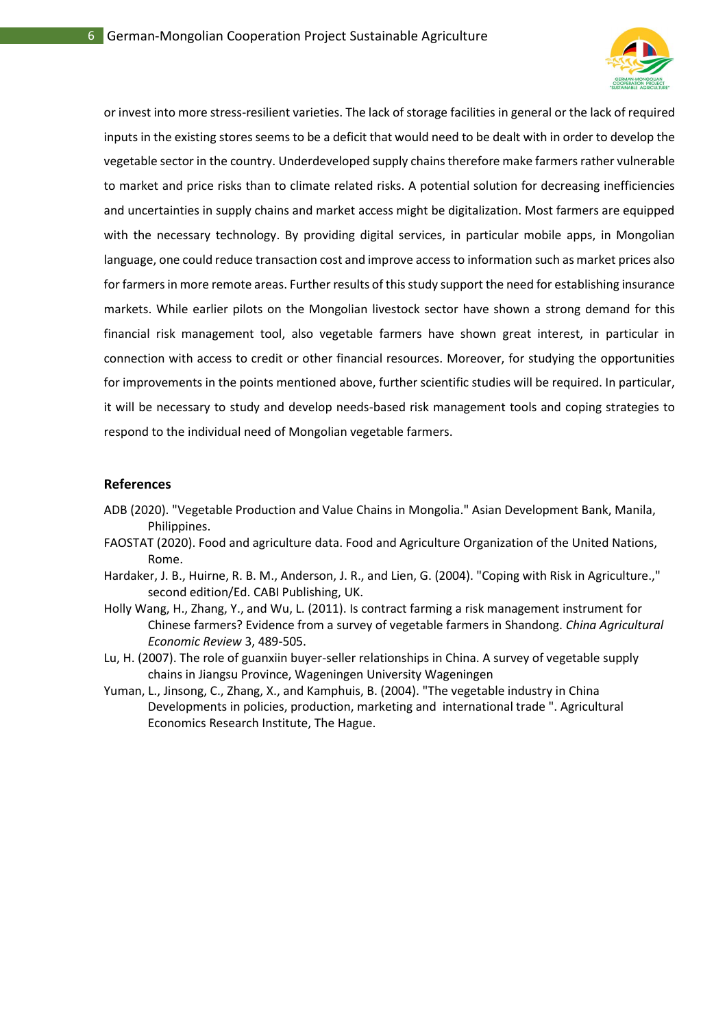

or invest into more stress-resilient varieties. The lack of storage facilities in general or the lack of required inputs in the existing stores seems to be a deficit that would need to be dealt with in order to develop the vegetable sector in the country. Underdeveloped supply chains therefore make farmers rather vulnerable to market and price risks than to climate related risks. A potential solution for decreasing inefficiencies and uncertainties in supply chains and market access might be digitalization. Most farmers are equipped with the necessary technology. By providing digital services, in particular mobile apps, in Mongolian language, one could reduce transaction cost and improve access to information such as market prices also for farmers in more remote areas. Further results of this study support the need for establishing insurance markets. While earlier pilots on the Mongolian livestock sector have shown a strong demand for this financial risk management tool, also vegetable farmers have shown great interest, in particular in connection with access to credit or other financial resources. Moreover, for studying the opportunities for improvements in the points mentioned above, further scientific studies will be required. In particular, it will be necessary to study and develop needs-based risk management tools and coping strategies to respond to the individual need of Mongolian vegetable farmers.

### **References**

- ADB (2020). "Vegetable Production and Value Chains in Mongolia." Asian Development Bank, Manila, Philippines.
- FAOSTAT (2020). Food and agriculture data. Food and Agriculture Organization of the United Nations, Rome.
- Hardaker, J. B., Huirne, R. B. M., Anderson, J. R., and Lien, G. (2004). "Coping with Risk in Agriculture.," second edition/Ed. CABI Publishing, UK.
- Holly Wang, H., Zhang, Y., and Wu, L. (2011). Is contract farming a risk management instrument for Chinese farmers? Evidence from a survey of vegetable farmers in Shandong. *China Agricultural Economic Review* 3, 489-505.
- Lu, H. (2007). The role of guanxiin buyer-seller relationships in China. A survey of vegetable supply chains in Jiangsu Province, Wageningen University Wageningen
- Yuman, L., Jinsong, C., Zhang, X., and Kamphuis, B. (2004). "The vegetable industry in China Developments in policies, production, marketing and international trade ". Agricultural Economics Research Institute, The Hague.